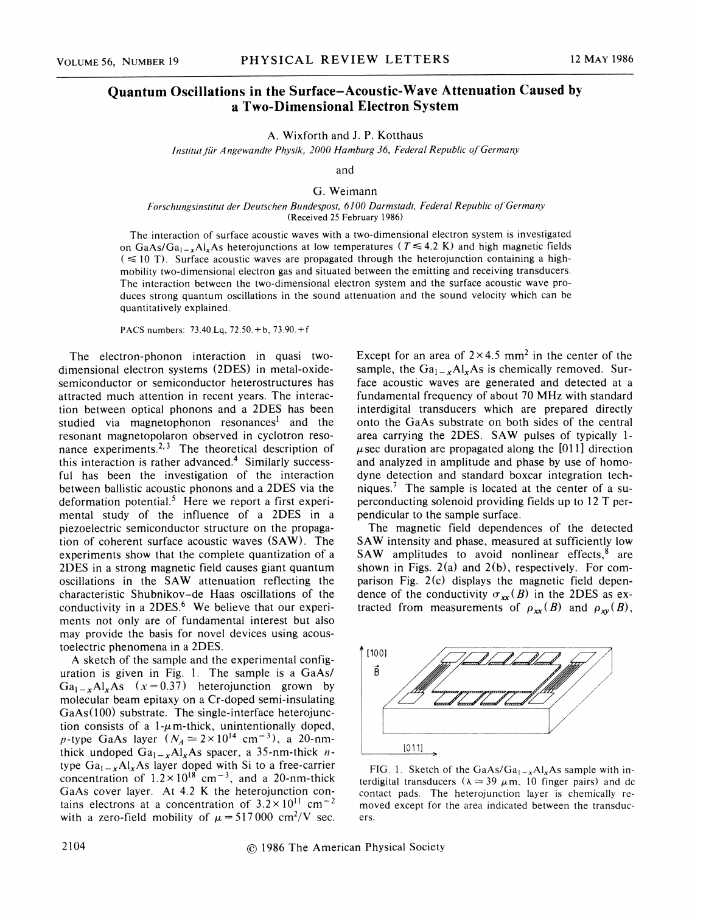## Quantum Oscillations in the Surface-Acoustic-Wave Attenuation Caused by a Two-Dimensional Electron System

A. Wixforth and J. P. Kotthaus

Institut für Angewandte Physik, 2000 Hamburg 36, Federal Republic of Germany

and

G. Weimann

## Forschungsinstitut der Deutschen Bundespost, 6100 Darmstadt, Federal Republic of Germany (Received 25 February 1986)

The interaction of surface acoustic waves with a two-dimensional electron system is investigated on GaAs/Ga<sub>1 - x</sub>Al<sub>x</sub>As heterojunctions at low temperatures ( $T \le 4.2$  K) and high magnetic fields  $( $\leq$  10 T)$ . Surface acoustic waves are propagated through the heterojunction containing a highmobility two-dimensional electron gas and situated between the emitting and receiving transducers. The interaction between the two-dimensional electron system and the surface acoustic wave produces strong quantum oscillations in the sound attenuation and the sound velocity which can be quantitatively explained.

<sup>P</sup>ACS numbers: 73.40.Lq, 72.50.+b, 73.90.+f

The electron-phonon interaction in quasi twodimensional electron systems (2DES) in metal-oxidesemiconductor or semiconductor heterostructures has attracted much attention in recent years. The interaction between optical phonons and a 2DES has been studied via magnetophonon resonances<sup>1</sup> and the resonant magnetopolaron observed in cyclotron resonance experiments.<sup>2, 3</sup> The theoretical description of this interaction is rather advanced.<sup>4</sup> Similarly successful has been the investigation of the interaction between ballistic acoustic phonons and a 2DES via the deformation potential.<sup>5</sup> Here we report a first experimental study of the influence of a 2DES in a piezoelectric semiconductor structure on the propagation of coherent surface acoustic waves (SAW). The experiments show that the complete quantization of a 2DES in a strong magnetic field causes giant quantum oscillations in the SAW attenuation reflecting the characteristic Shubnikov-de Haas oscillations of the conductivity in a  $2DES<sup>6</sup>$  We believe that our experiments not only are of fundamental interest but also may provide the basis for novel devices using acoustoelectric phenomena in a 2DES.

A sketch of the sample and the experimental configuration is given in Fig. 1. The sample is a GaAs/  $Ga_{1-x}Al_xAs$  (x=0.37) heterojunction grown by molecular beam epitaxy on a Cr-doped semi-insulating GaAs(100) substrate. The single-interface heterojunction consists of a 1- $\mu$ m-thick, unintentionally doped p-type GaAs layer  $(N_A \approx 2 \times 10^{14} \text{ cm}^{-3})$ , a 20-nm thick undoped  $Ga_{1-x}Al_xAs$  spacer, a 35-nm-thick ntype  $Ga_{1-x}Al_xAs$  layer doped with Si to a free-carrier concentration of  $1.2 \times 10^{18}$  cm<sup>-3</sup>, and a 20-nm-thick GaAs cover layer. At  $4.2$  K the heterojunction contains electrons at a concentration of  $3.2 \times 10^{11}$  cm<sup>-2</sup> with a zero-field mobility of  $\mu = 517000 \text{ cm}^2/\text{V}$  sec. Except for an area of  $2 \times 4.5$  mm<sup>2</sup> in the center of the sample, the  $Ga_{1-x}Al_xAs$  is chemically removed. Surface acoustic waves are generated and detected at a fundamental frequency of about 70 MHz with standard interdigital transducers which are prepared directly onto the GaAs substrate on both sides of the central area carrying the 2DES. SAW pulses of typically 1-  $\mu$ sec duration are propagated along the [011] direction and analyzed in amplitude and phase by use of homodyne detection and standard boxcar integration techniques.<sup>7</sup> The sample is located at the center of a superconducting solenoid providing fields up to 12 T perpendicular to the sample surface.

The magnetic field dependences of the detected SAW intensity and phase, measured at sufficiently low SAW amplitudes to avoid nonlinear effects, $8$  are shown in Figs.  $2(a)$  and  $2(b)$ , respectively. For comparison Fig. 2(c) displays the magnetic field dependence of the conductivity  $\sigma_{xx}(B)$  in the 2DES as extracted from measurements of  $\rho_{xx}(B)$  and  $\rho_{xy}(B)$ ,



FIG. 1. Sketch of the GaAs/Ga<sub>1-x</sub>Al<sub>x</sub>As sample with interdigital transducers ( $\lambda \approx 39 \mu$ m, 10 finger pairs) and dc contact pads. The heterojunction layer is chemically removed except for the area indicated between the transducers.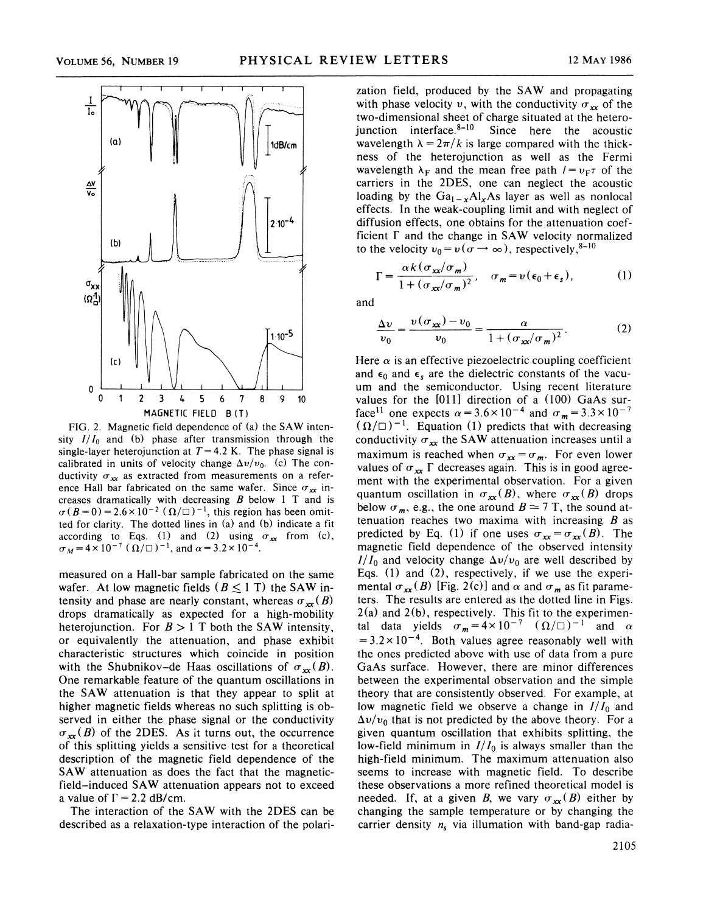

FIG. 2. Magnetic field dependence of  $(a)$  the SAW intensity  $I/I_0$  and (b) phase after transmission through the single-layer heterojunction at  $T=4.2$  K. The phase signal is calibrated in units of velocity change  $\Delta v/v_0$ . (c) The conductivity  $\sigma_{xx}$  as extracted from measurements on a reference Hall bar fabricated on the same wafer. Since  $\sigma_{xx}$  increases dramatically with decreasing  $B$  below 1 T and is  $\sigma(B=0) = 2.6 \times 10^{-2}$  ( $\Omega/\Box$ )<sup>-1</sup>, this region has been omit ted for clarity. The dotted lines in (a) and (b) indicate a fit according to Eqs. (1) and (2) using  $\sigma_{xx}$  from (c), (according to Eqs. (1) and (2) usin<br> $\sigma_M = 4 \times 10^{-7}$  ( $\Omega/\square$ )<sup>-1</sup>, and  $\alpha = 3.2 \times 10$ 

measured on a Hall-bar sample fabricated on the same wafer. At low magnetic fields ( $B \le 1$  T) the SAW intensity and phase are nearly constant, whereas  $\sigma_{xx}(B)$ drops dramatically as expected for a high-mobility heterojunction. For  $B > 1$  T both the SAW intensity, or equivalently the attenuation, and phase exhibit characteristic structures which coincide in position with the Shubnikov-de Haas oscillations of  $\sigma_{xx}(B)$ . One remarkable feature of the quantum oscillations in the SAW attenuation is that they appear to split at higher magnetic fields whereas no such splitting is observed in either the phase signal or the conductivity  $\sigma_{xx}(B)$  of the 2DES. As it turns out, the occurrence of this splitting yields a sensitive test for a theoretical description of the magnetic field dependence of the SAW attenuation as does the fact that the magneticfield —induced SAW attenuation appears not to exceed a value of  $\Gamma = 2.2$  dB/cm.

The interaction of the SAW with the 2DES can be described as a relaxation-type interaction of the polari-

zation field, produced by the SAW and propagating with phase velocity v, with the conductivity  $\sigma_{xx}$  of the two-dimensional sheet of charge situated at the heterojunction interface. $8-10$  Since here the acoustic wavelength  $\lambda = 2\pi/k$  is large compared with the thickness of the heterojunction as well as the Fermi wavelength  $\lambda_F$  and the mean free path  $I = v_F \tau$  of the carriers in the 2DES, one can neglect the acoustic loading by the  $Ga_{1-x}Al_xAs$  layer as well as nonlocal effects. In the weak-coupling limit and with neglect of diffusion effects, one obtains for the attenuation coefficient  $\Gamma$  and the change in SAW velocity normalized to the velocity  $v_0 = v(\sigma \rightarrow \infty)$ , respectively, <sup>8-10</sup>

 $\frac{\alpha k(\sigma_{xx}/\sigma_m)}{1+(\sigma_{xx}/\sigma_m)^2}$ ,  $\sigma_m=v(\epsilon_0+\epsilon_s)$ , (1)

$$
\frac{\Delta v}{v_0} = \frac{v(\sigma_{xx}) - v_0}{v_0} = \frac{\alpha}{1 + (\sigma_{xx}/\sigma_m)^2}.
$$
 (2)

Here  $\alpha$  is an effective piezoelectric coupling coefficient and  $\epsilon_0$  and  $\epsilon_s$  are the dielectric constants of the vacuum and the semiconductor. Using recent literature values for the [011] direction of a (100) GaAs surface<sup>11</sup> one expects  $\alpha = 3.6 \times 10^{-4}$  and  $\sigma_m = 3.3 \times 10^{-4}$  $((\Omega/\square)^{-1})$ . Equation (1) predicts that with decreasing conductivity  $\sigma_{xx}$  the SAW attenuation increases until a maximum is reached when  $\sigma_{xx} = \sigma_m$ . For even lower values of  $\sigma_{xx}$   $\Gamma$  decreases again. This is in good agreement with the experimental observation. For a given quantum oscillation in  $\sigma_{xx}(B)$ , where  $\sigma_{xx}(B)$  drops below  $\sigma_m$ , e.g., the one around  $B \simeq 7$  T, the sound attenuation reaches two maxima with increasing  $B$  as predicted by Eq. (1) if one uses  $\sigma_{xx} = \sigma_{xx}(B)$ . The magnetic field dependence of the observed intensity  $I/I_0$  and velocity change  $\Delta v/v_0$  are well described by Eqs. (1) and (2), respectively, if we use the experimental  $\sigma_{xx}(B)$  [Fig. 2(c)] and  $\alpha$  and  $\sigma_m$  as fit parameters. The results are entered as the dotted line in Figs.  $2(a)$  and  $2(b)$ , respectively. This fit to the experimental data yields  $\sigma_m = 4 \times 10^{-7}$   $(\Omega/\square)^{-1}$  and  $\Omega$  $= 3.2 \times 10^{-4}$ . Both values agree reasonably well with the ones predicted above with use of data from a pure GaAs surface. However, there are minor differences between the experimental observation and the simple theory that are consistently observed. For example, at low magnetic field we observe a change in  $I/I_0$  and  $\Delta v/v_0$  that is not predicted by the above theory. For a given quantum oscillation that exhibits splitting, the low-field minimum in  $I/I_0$  is always smaller than the high-field minimum. The maximum attenuation also seems to increase with magnetic field. To describe these observations a more refined theoretical model is needed. If, at a given B, we vary  $\sigma_{\text{xx}}(B)$  either by changing the sample temperature or by changing the carrier density  $n_s$  via illumation with band-gap radia